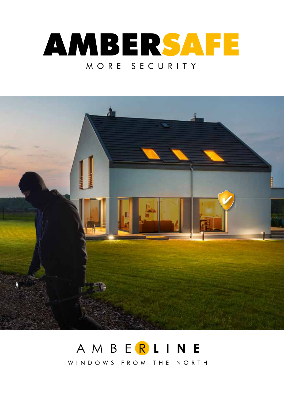



## AMBERLINE WINDOWS FROM THE NORTH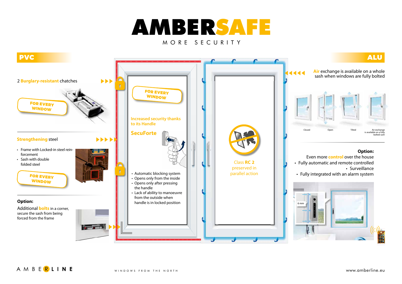